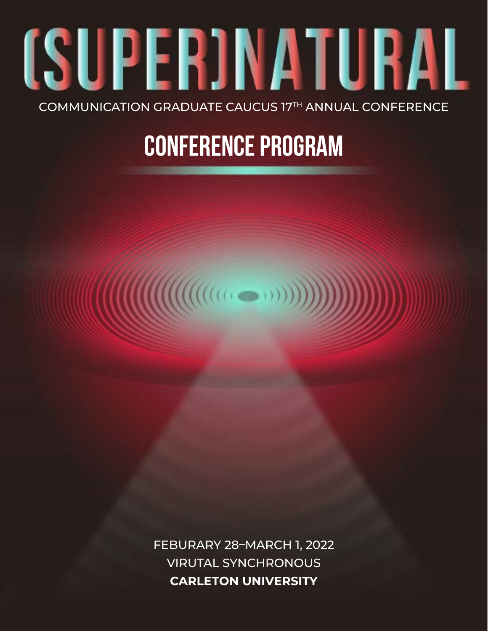# (SUPER)NATURAL COMMUNICATION GRADUATE CAUCUS 17TH ANNUAL CONFERENCE

## **CONFERENCE PROGRAM**

FEBURARY 28–MARCH 1, 2022 VIRUTAL SYNCHRONOUS **CARLETON UNIVERSITY**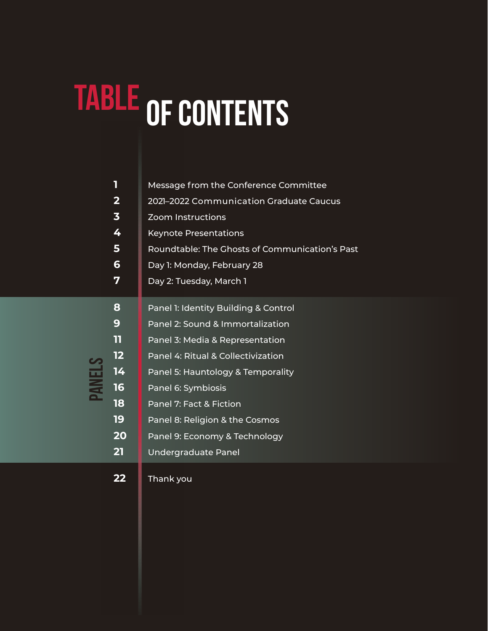# TABLE OF CONTENTS

|               | 1                       | Message from the Conference Committee          |  |
|---------------|-------------------------|------------------------------------------------|--|
|               | $\overline{\mathbf{2}}$ | 2021-2022 Communication Graduate Caucus        |  |
|               | $\overline{\mathbf{3}}$ | <b>Zoom Instructions</b>                       |  |
|               | 4                       | <b>Keynote Presentations</b>                   |  |
|               | 5                       | Roundtable: The Ghosts of Communication's Past |  |
|               | 6                       | Day 1: Monday, February 28                     |  |
|               | 7                       | Day 2: Tuesday, March 1                        |  |
| <b>PANELS</b> | 8                       | Panel 1: Identity Building & Control           |  |
|               | 9                       | Panel 2: Sound & Immortalization               |  |
|               | 11                      | Panel 3: Media & Representation                |  |
|               | 12                      | Panel 4: Ritual & Collectivization             |  |
|               | 14                      | Panel 5: Hauntology & Temporality              |  |
|               | 16                      | Panel 6: Symbiosis                             |  |
|               | 18                      | Panel 7: Fact & Fiction                        |  |
|               | 19                      | Panel 8: Religion & the Cosmos                 |  |
|               | 20                      | Panel 9: Economy & Technology                  |  |
|               | 21                      | <b>Undergraduate Panel</b>                     |  |
|               |                         |                                                |  |

[Thank you](#page-23-0)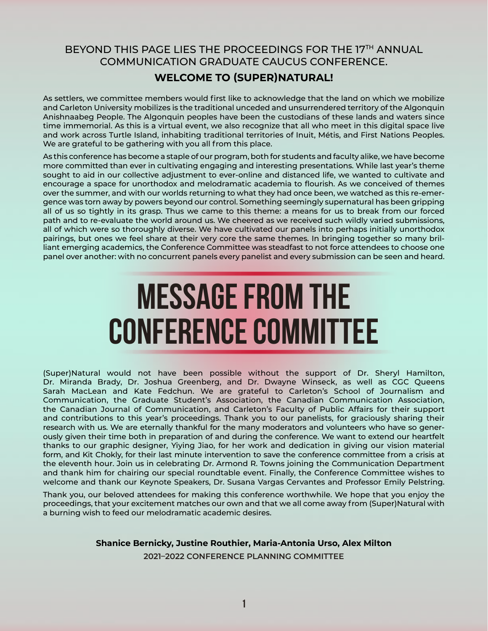### <span id="page-2-0"></span>BEYOND THIS PAGE LIES THE PROCEEDINGS FOR THE 17TH ANNUAL COMMUNICATION GRADUATE CAUCUS CONFERENCE.

#### **WELCOME TO (SUPER)NATURAL!**

As settlers, we committee members would first like to acknowledge that the land on which we mobilize and Carleton University mobilizes is the traditional unceded and unsurrendered territory of the Algonquin Anishnaabeg People. The Algonquin peoples have been the custodians of these lands and waters since time immemorial. As this is a virtual event, we also recognize that all who meet in this digital space live and work across Turtle Island, inhabiting traditional territories of Inuit, Métis, and First Nations Peoples. We are grateful to be gathering with you all from this place.

As this conference has become a staple of our program, both for students and faculty alike, we have become more committed than ever in cultivating engaging and interesting presentations. While last year's theme sought to aid in our collective adjustment to ever-online and distanced life, we wanted to cultivate and encourage a space for unorthodox and melodramatic academia to flourish. As we conceived of themes over the summer, and with our worlds returning to what they had once been, we watched as this re-emergence was torn away by powers beyond our control. Something seemingly supernatural has been gripping all of us so tightly in its grasp. Thus we came to this theme: a means for us to break from our forced path and to re-evaluate the world around us. We cheered as we received such wildly varied submissions, all of which were so thoroughly diverse. We have cultivated our panels into perhaps initially unorthodox pairings, but ones we feel share at their very core the same themes. In bringing together so many brilliant emerging academics, the Conference Committee was steadfast to not force attendees to choose one panel over another: with no concurrent panels every panelist and every submission can be seen and heard.

## **Message from the Conference Committee**

(Super)Natural would not have been possible without the support of Dr. Sheryl Hamilton, Dr. Miranda Brady, Dr. Joshua Greenberg, and Dr. Dwayne Winseck, as well as CGC Queens Sarah MacLean and Kate Fedchun. We are grateful to Carleton's School of Journalism and Communication, the Graduate Student's Association, the Canadian Communication Association, the Canadian Journal of Communication, and Carleton's Faculty of Public Affairs for their support and contributions to this year's proceedings. Thank you to our panelists, for graciously sharing their research with us. We are eternally thankful for the many moderators and volunteers who have so generously given their time both in preparation of and during the conference. We want to extend our heartfelt thanks to our graphic designer, Yiying Jiao, for her work and dedication in giving our vision material form, and Kit Chokly, for their last minute intervention to save the conference committee from a crisis at the eleventh hour. Join us in celebrating Dr. Armond R. Towns joining the Communication Department and thank him for chairing our special roundtable event. Finally, the Conference Committee wishes to welcome and thank our Keynote Speakers, Dr. Susana Vargas Cervantes and Professor Emily Pelstring.

Thank you, our beloved attendees for making this conference worthwhile. We hope that you enjoy the proceedings, that your excitement matches our own and that we all come away from (Super)Natural with a burning wish to feed our melodramatic academic desires.

> **Shanice Bernicky, Justine Routhier, Maria-Antonia Urso, Alex Milton 2021–2022 CONFERENCE PLANNING COMMITTEE**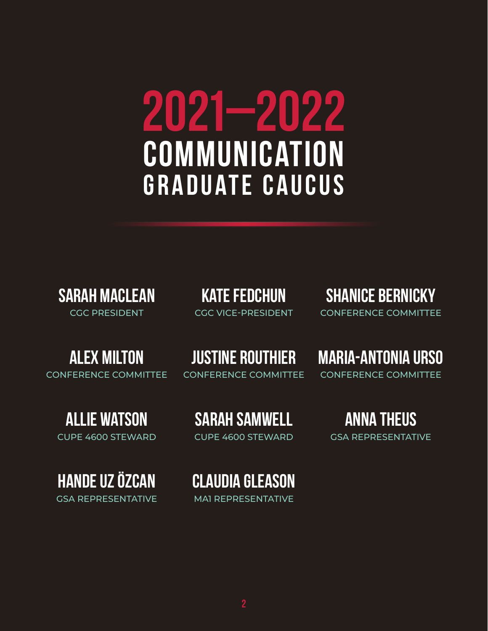# <span id="page-3-0"></span>**2021–2022 Communication Graduate Caucus**

**Sarah MacLean** CGC PRESIDENT

**Kate Fedchun** CGC VICE-PRESIDENT

**Shanice Bernicky** CONFERENCE COMMITTEE

**Maria-Antonia Urso**

CONFERENCE COMMITTEE

## **Alex Milton**

CONFERENCE COMMITTEE

**Justine Routhier**

CONFERENCE COMMITTEE

**Allie Watson**

CUPE 4600 STEWARD

**Hande Uz Özcan** GSA REPRESENTATIVE **Sarah Samwell** CUPE 4600 STEWARD

**Anna Theus**

**Claudia Gleason** MA1 REPRESENTATIVE

GSA REPRESENTATIVE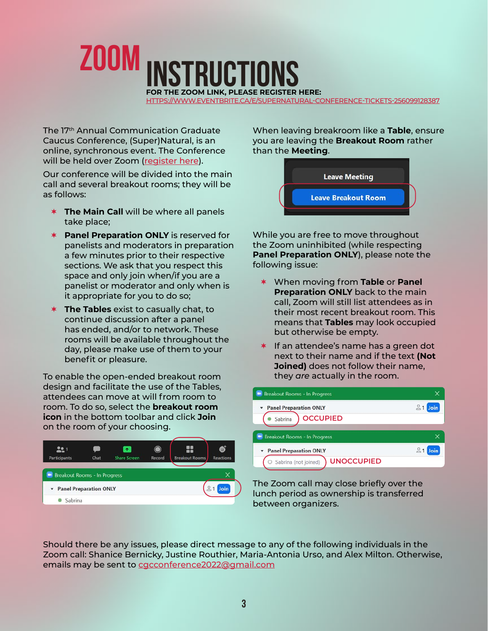<span id="page-4-0"></span>

[HTTPS://WWW.EVENTBRITE.CA/E/SUPERNATURAL-CONFERENCE-TICKETS-256099128387](https://www.eventbrite.ca/e/supernatural-conference-tickets-256099128387)

The 17th Annual Communication Graduate Caucus Conference, (Super)Natural, is an online, synchronous event. The Conference will be held over Zoom ([register here](https://www.eventbrite.ca/e/supernatural-conference-tickets-256099128387)).

Our conference will be divided into the main call and several breakout rooms; they will be as follows:

- **The Main Call** will be where all panels take place;
- **Panel Preparation ONLY** is reserved for panelists and moderators in preparation a few minutes prior to their respective sections. We ask that you respect this space and only join when/if you are a panelist or moderator and only when is it appropriate for you to do so;
- **The Tables** exist to casually chat, to continue discussion after a panel has ended, and/or to network. These rooms will be available throughout the day, please make use of them to your benefit or pleasure.

To enable the open-ended breakout room design and facilitate the use of the Tables, attendees can move at will from room to room. To do so, select the **breakout room icon** in the bottom toolbar and click **Join**  on the room of your choosing.



When leaving breakroom like a **Table**, ensure you are leaving the **Breakout Room** rather than the **Meeting**.



While you are free to move throughout the Zoom uninhibited (while respecting **Panel Preparation ONLY**), please note the following issue:

- When moving from **Table** or **Panel Preparation ONLY** back to the main call, Zoom will still list attendees as in their most recent breakout room. This means that **Tables** may look occupied but otherwise be empty.
- $*$  If an attendee's name has a green dot next to their name and if the text **(Not Joined)** does not follow their name, they *are* actually in the room.

| <b>Breakout Rooms - In Progress</b>                                          |  |
|------------------------------------------------------------------------------|--|
| * Panel Preparation ONLY                                                     |  |
| <b>OCCUPIED</b><br>Sabrina                                                   |  |
| Breakout Rooms - In Progress                                                 |  |
|                                                                              |  |
| <b>T</b> Panel Preparation ONLY<br><b>UNOCCUPIED</b><br>Sabrina (not joined) |  |
|                                                                              |  |

The Zoom call may close briefly over the lunch period as ownership is transferred between organizers.

Should there be any issues, please direct message to any of the following individuals in the Zoom call: Shanice Bernicky, Justine Routhier, Maria-Antonia Urso, and Alex Milton. Otherwise, emails may be sent to [cgcconference2022@gmail.com](mailto:cgcconference2022%40gmail.com?subject=)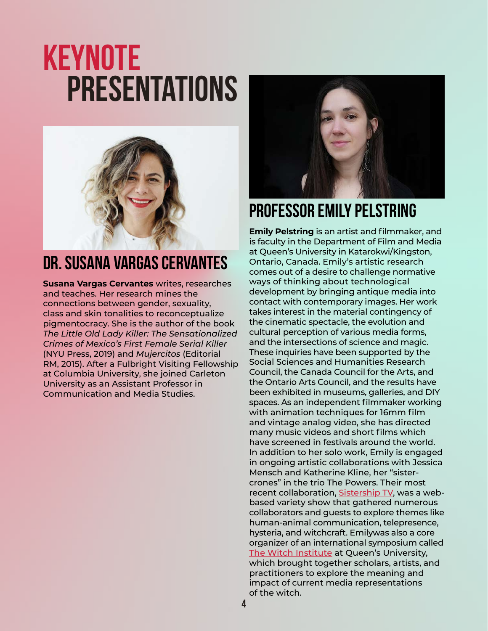## <span id="page-5-0"></span>**keynote Presentations**



## **DR. Susana Vargas Cervantes**

**Susana Vargas Cervantes** writes, researches and teaches. Her research mines the connections between gender, sexuality, class and skin tonalities to reconceptualize pigmentocracy. She is the author of the book *The Little Old Lady Killer: The Sensationalized Crimes of Mexico's First Female Serial Killer* (NYU Press, 2019) and *Mujercitos* (Editorial RM, 2015). After a Fulbright Visiting Fellowship at Columbia University, she joined Carleton University as an Assistant Professor in Communication and Media Studies.



## **Professor Emily Pelstring**

**Emily Pelstring** is an artist and filmmaker, and is faculty in the Department of Film and Media at Queen's University in Katarokwi/Kingston, Ontario, Canada. Emily's artistic research comes out of a desire to challenge normative ways of thinking about technological development by bringing antique media into contact with contemporary images. Her work takes interest in the material contingency of the cinematic spectacle, the evolution and cultural perception of various media forms, and the intersections of science and magic. These inquiries have been supported by the Social Sciences and Humanities Research Council, the Canada Council for the Arts, and the Ontario Arts Council, and the results have been exhibited in museums, galleries, and DIY spaces. As an independent filmmaker working with animation techniques for 16mm film and vintage analog video, she has directed many music videos and short films which have screened in festivals around the world. In addition to her solo work, Emily is engaged in ongoing artistic collaborations with Jessica Mensch and Katherine Kline, her "sistercrones" in the trio The Powers. Their most recent collaboration, [Sistership TV](https://sistership.tv/), was a webbased variety show that gathered numerous collaborators and guests to explore themes like human-animal communication, telepresence, hysteria, and witchcraft. Emilywas also a core organizer of an international symposium called [The Witch Institute](https://witchinstitute.com/) at Queen's University, which brought together scholars, artists, and practitioners to explore the meaning and impact of current media representations of the witch.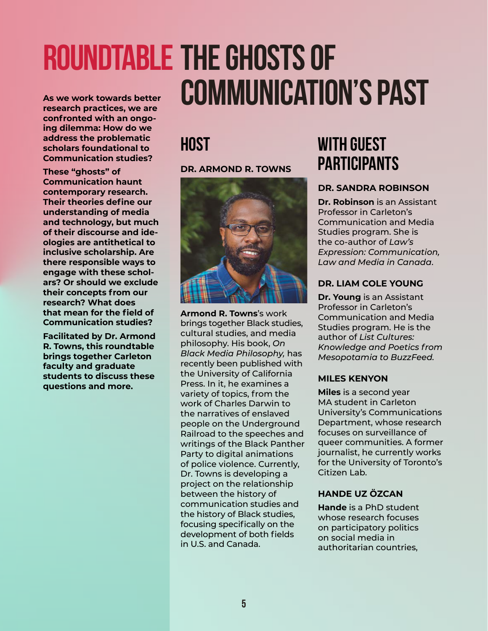## <span id="page-6-0"></span>**Roundtable The Ghosts of As we work towards better**  As we work towards better **COMMUNICATION'S PAST**

**confronted with an ongoing dilemma: How do we address the problematic scholars foundational to Communication studies?** 

**These "ghosts" of Communication haunt contemporary research. Their theories define our understanding of media and technology, but much of their discourse and ideologies are antithetical to inclusive scholarship. Are there responsible ways to engage with these scholars? Or should we exclude their concepts from our research? What does that mean for the field of Communication studies?**

**Facilitated by Dr. Armond R. Towns, this roundtable brings together Carleton faculty and graduate students to discuss these questions and more.**

## **Host**

#### **DR. ARMOND R. TOWNS**



**Armond R. Towns**'s work brings together Black studies, cultural studies, and media philosophy. His book, *On Black Media Philosophy,* has recently been published with the University of California Press. In it, he examines a variety of topics, from the work of Charles Darwin to the narratives of enslaved people on the Underground Railroad to the speeches and writings of the Black Panther Party to digital animations of police violence. Currently, Dr. Towns is developing a project on the relationship between the history of communication studies and the history of Black studies, focusing specifically on the development of both fields in U.S. and Canada.

## **with Guest Participants**

#### **DR. SANDRA ROBINSON**

**Dr. Robinson** is an Assistant Professor in Carleton's Communication and Media Studies program. She is the co-author of *Law's Expression: Communication, Law and Media in Canada*.

#### **DR. LIAM COLE YOUNG**

**Dr. Young** is an Assistant Professor in Carleton's Communication and Media Studies program. He is the author of *List Cultures: Knowledge and Poetics from Mesopotamia to BuzzFeed.*

#### **MILES KENYON**

**Miles** is a second year MA student in Carleton University's Communications Department, whose research focuses on surveillance of queer communities. A former journalist, he currently works for the University of Toronto's Citizen Lab.

#### **HANDE UZ ÖZCAN**

**Hande** is a PhD student whose research focuses on participatory politics on social media in authoritarian countries,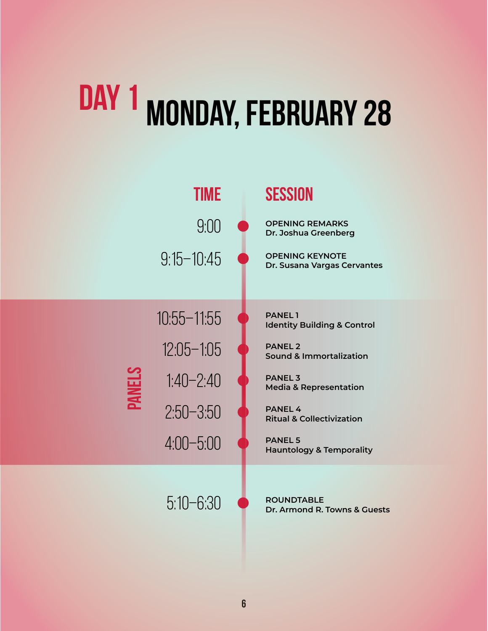# <span id="page-7-0"></span>**Day 1 Monday, February 28**

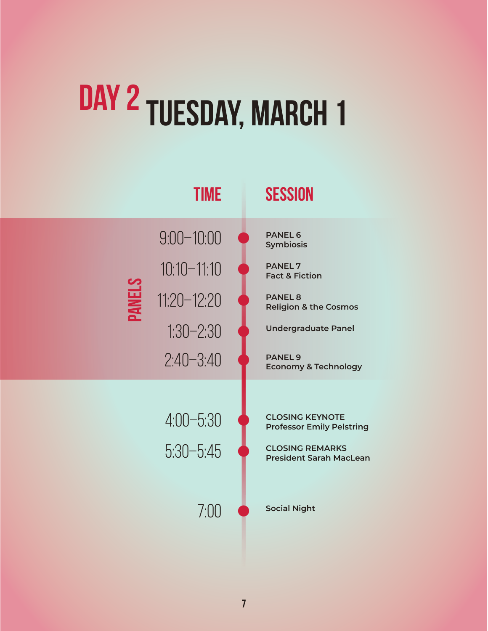# <span id="page-8-0"></span>DAY 2 TUESDAY, MARCH 1

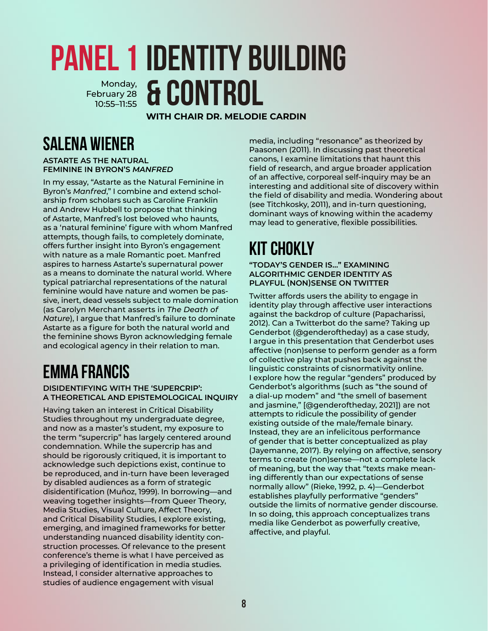#### <span id="page-9-0"></span>**PANEL 1 IDENTITY BUILDING & Control** Monday, February 28 10:55–11:55

**WITH CHAIR DR. MELODIE CARDIN**

## **Salena Wiener**

**ASTARTE AS THE NATURAL FEMININE IN BYRON'S** *MANFRED*

In my essay, "Astarte as the Natural Feminine in Byron's *Manfred*," I combine and extend scholarship from scholars such as Caroline Franklin and Andrew Hubbell to propose that thinking of Astarte, Manfred's lost beloved who haunts, as a 'natural feminine' figure with whom Manfred attempts, though fails, to completely dominate, offers further insight into Byron's engagement with nature as a male Romantic poet. Manfred aspires to harness Astarte's supernatural power as a means to dominate the natural world. Where typical patriarchal representations of the natural feminine would have nature and women be passive, inert, dead vessels subject to male domination (as Carolyn Merchant asserts in *The Death of Nature*), I argue that Manfred's failure to dominate Astarte as a figure for both the natural world and the feminine shows Byron acknowledging female and ecological agency in their relation to man.

## **Emma Francis**

**DISIDENTIFYING WITH THE 'SUPERCRIP': A THEORETICAL AND EPISTEMOLOGICAL INQUIRY**

Having taken an interest in Critical Disability Studies throughout my undergraduate degree, and now as a master's student, my exposure to the term "supercrip" has largely centered around condemnation. While the supercrip has and should be rigorously critiqued, it is important to acknowledge such depictions exist, continue to be reproduced, and in-turn have been leveraged by disabled audiences as a form of strategic disidentification (Muñoz, 1999). In borrowing—and weaving together insights—from Queer Theory, Media Studies, Visual Culture, Affect Theory, and Critical Disability Studies, I explore existing, emerging, and imagined frameworks for better understanding nuanced disability identity construction processes. Of relevance to the present conference's theme is what I have perceived as a privileging of identification in media studies. Instead, I consider alternative approaches to studies of audience engagement with visual

media, including "resonance" as theorized by Paasonen (2011). In discussing past theoretical canons, I examine limitations that haunt this field of research, and argue broader application of an affective, corporeal self-inquiry may be an interesting and additional site of discovery within the field of disability and media. Wondering about (see Titchkosky, 2011), and in-turn questioning, dominant ways of knowing within the academy may lead to generative, flexible possibilities.

## **Kit Chokly**

**"TODAY'S GENDER IS…" EXAMINING ALGORITHMIC GENDER IDENTITY AS PLAYFUL (NON)SENSE ON TWITTER**

Twitter affords users the ability to engage in identity play through affective user interactions against the backdrop of culture (Papacharissi, 2012). Can a Twitterbot do the same? Taking up Genderbot (@genderoftheday) as a case study, I argue in this presentation that Genderbot uses affective (non)sense to perform gender as a form of collective play that pushes back against the linguistic constraints of cisnormativity online. I explore how the regular "genders" produced by Genderbot's algorithms (such as "the sound of a dial-up modem" and "the smell of basement and jasmine," [@genderoftheday, 2021]) are not attempts to ridicule the possibility of gender existing outside of the male/female binary. Instead, they are an infelicitous performance of gender that is better conceptualized as play (Jayemanne, 2017). By relying on affective, sensory terms to create (non)sense—not a complete lack of meaning, but the way that "texts make meaning differently than our expectations of sense normally allow" (Rieke, 1992, p. 4)—Genderbot establishes playfully performative "genders" outside the limits of normative gender discourse. In so doing, this approach conceptualizes trans media like Genderbot as powerfully creative, affective, and playful.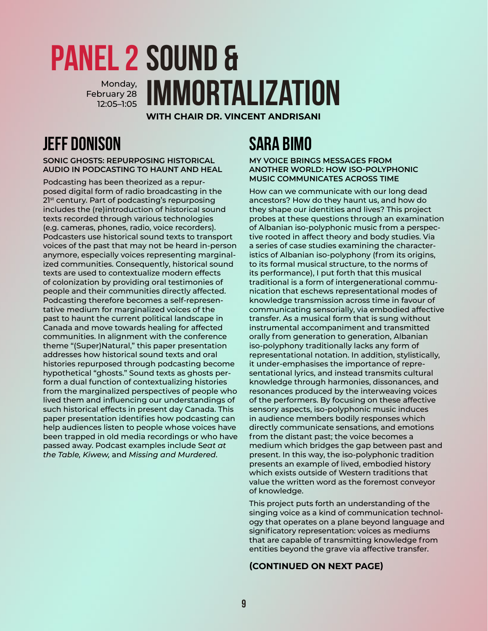#### <span id="page-10-0"></span>**PANEL 2 SOUND & Immortalization** Monday, February 28 12:05–1:05

**WITH CHAIR DR. VINCENT ANDRISANI**

## **Jeff Donison**

**SONIC GHOSTS: REPURPOSING HISTORICAL AUDIO IN PODCASTING TO HAUNT AND HEAL**

Podcasting has been theorized as a repurposed digital form of radio broadcasting in the 2<sup>1st</sup> century. Part of podcasting's repurposing includes the (re)introduction of historical sound texts recorded through various technologies (e.g. cameras, phones, radio, voice recorders). Podcasters use historical sound texts to transport voices of the past that may not be heard in-person anymore, especially voices representing marginalized communities. Consequently, historical sound texts are used to contextualize modern effects of colonization by providing oral testimonies of people and their communities directly affected. Podcasting therefore becomes a self-representative medium for marginalized voices of the past to haunt the current political landscape in Canada and move towards healing for affected communities. In alignment with the conference theme "(Super)Natural," this paper presentation addresses how historical sound texts and oral histories repurposed through podcasting become hypothetical "ghosts." Sound texts as ghosts perform a dual function of contextualizing histories from the marginalized perspectives of people who lived them and influencing our understandings of such historical effects in present day Canada. This paper presentation identifies how podcasting can help audiences listen to people whose voices have been trapped in old media recordings or who have passed away. Podcast examples include S*eat at the Table, Kiwew,* and *Missing and Murdered*.

## **Sara Bimo**

#### **MY VOICE BRINGS MESSAGES FROM ANOTHER WORLD: HOW ISO-POLYPHONIC MUSIC COMMUNICATES ACROSS TIME**

How can we communicate with our long dead ancestors? How do they haunt us, and how do they shape our identities and lives? This project probes at these questions through an examination of Albanian iso-polyphonic music from a perspective rooted in affect theory and body studies. Via a series of case studies examining the characteristics of Albanian iso-polyphony (from its origins, to its formal musical structure, to the norms of its performance), I put forth that this musical traditional is a form of intergenerational communication that eschews representational modes of knowledge transmission across time in favour of communicating sensorially, via embodied affective transfer. As a musical form that is sung without instrumental accompaniment and transmitted orally from generation to generation, Albanian iso-polyphony traditionally lacks any form of representational notation. In addition, stylistically, it under-emphasises the importance of representational lyrics, and instead transmits cultural knowledge through harmonies, dissonances, and resonances produced by the interweaving voices of the performers. By focusing on these affective sensory aspects, iso-polyphonic music induces in audience members bodily responses which directly communicate sensations, and emotions from the distant past; the voice becomes a medium which bridges the gap between past and present. In this way, the iso-polyphonic tradition presents an example of lived, embodied history which exists outside of Western traditions that value the written word as the foremost conveyor of knowledge.

This project puts forth an understanding of the singing voice as a kind of communication technology that operates on a plane beyond language and significatory representation: voices as mediums that are capable of transmitting knowledge from entities beyond the grave via affective transfer.

#### **(CONTINUED ON NEXT PAGE)**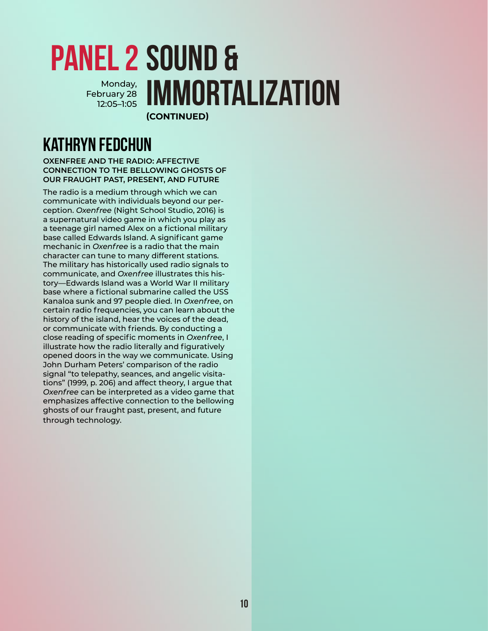#### **PANEL 2 SOUND & Immortalization (CONTINUED)** Monday, February 28 12:05–1:05

## **Kathryn Fedchun**

**OXENFREE AND THE RADIO: AFFECTIVE CONNECTION TO THE BELLOWING GHOSTS OF OUR FRAUGHT PAST, PRESENT, AND FUTURE**

The radio is a medium through which we can communicate with individuals beyond our perception. *Oxenfree* (Night School Studio, 2016) is a supernatural video game in which you play as a teenage girl named Alex on a fictional military base called Edwards Island. A significant game mechanic in *Oxenfree* is a radio that the main character can tune to many different stations. The military has historically used radio signals to communicate, and *Oxenfree* illustrates this history—Edwards Island was a World War II military base where a fictional submarine called the USS Kanaloa sunk and 97 people died. In *Oxenfree*, on certain radio frequencies, you can learn about the history of the island, hear the voices of the dead, or communicate with friends. By conducting a close reading of specific moments in *Oxenfree*, I illustrate how the radio literally and figuratively opened doors in the way we communicate. Using John Durham Peters' comparison of the radio signal "to telepathy, seances, and angelic visitations" (1999, p. 206) and affect theory, I argue that *Oxenfree* can be interpreted as a video game that emphasizes affective connection to the bellowing ghosts of our fraught past, present, and future through technology.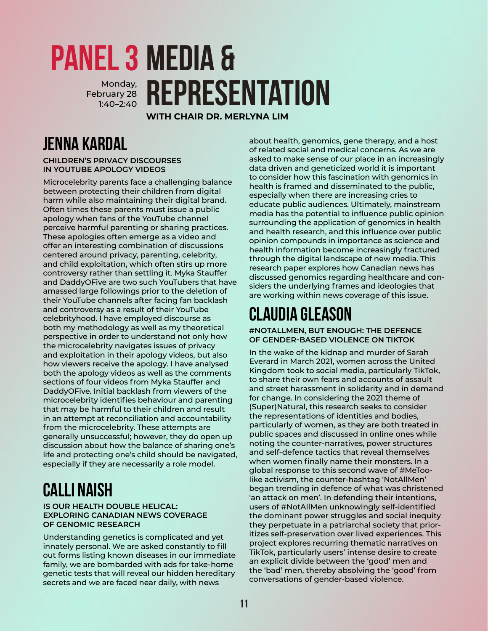#### <span id="page-12-0"></span>**PANEL 3 MEDIA & Representation** Monday, February 28 1:40–2:40

**WITH CHAIR DR. MERLYNA LIM**

## **Jenna Kardal**

**CHILDREN'S PRIVACY DISCOURSES IN YOUTUBE APOLOGY VIDEOS**

Microcelebrity parents face a challenging balance between protecting their children from digital harm while also maintaining their digital brand. Often times these parents must issue a public apology when fans of the YouTube channel perceive harmful parenting or sharing practices. These apologies often emerge as a video and offer an interesting combination of discussions centered around privacy, parenting, celebrity, and child exploitation, which often stirs up more controversy rather than settling it. Myka Stauffer and DaddyOFive are two such YouTubers that have amassed large followings prior to the deletion of their YouTube channels after facing fan backlash and controversy as a result of their YouTube celebrityhood. I have employed discourse as both my methodology as well as my theoretical perspective in order to understand not only how the microcelebrity navigates issues of privacy and exploitation in their apology videos, but also how viewers receive the apology. I have analysed both the apology videos as well as the comments sections of four videos from Myka Stauffer and DaddyOFive. Initial backlash from viewers of the microcelebrity identifies behaviour and parenting that may be harmful to their children and result in an attempt at reconciliation and accountability from the microcelebrity. These attempts are generally unsuccessful; however, they do open up discussion about how the balance of sharing one's life and protecting one's child should be navigated, especially if they are necessarily a role model.

## **Calli Naish**

#### **IS OUR HEALTH DOUBLE HELICAL: EXPLORING CANADIAN NEWS COVERAGE OF GENOMIC RESEARCH**

Understanding genetics is complicated and yet innately personal. We are asked constantly to fill out forms listing known diseases in our immediate family, we are bombarded with ads for take-home genetic tests that will reveal our hidden hereditary secrets and we are faced near daily, with news

about health, genomics, gene therapy, and a host of related social and medical concerns. As we are asked to make sense of our place in an increasingly data driven and geneticized world it is important to consider how this fascination with genomics in health is framed and disseminated to the public, especially when there are increasing cries to educate public audiences. Ultimately, mainstream media has the potential to influence public opinion surrounding the application of genomics in health and health research, and this influence over public opinion compounds in importance as science and health information become increasingly fractured through the digital landscape of new media. This research paper explores how Canadian news has discussed genomics regarding healthcare and considers the underlying frames and ideologies that are working within news coverage of this issue.

## **Claudia Gleason**

**#NOTALLMEN, BUT ENOUGH: THE DEFENCE OF GENDER-BASED VIOLENCE ON TIKTOK**

In the wake of the kidnap and murder of Sarah Everard in March 2021, women across the United Kingdom took to social media, particularly TikTok, to share their own fears and accounts of assault and street harassment in solidarity and in demand for change. In considering the 2021 theme of (Super)Natural, this research seeks to consider the representations of identities and bodies, particularly of women, as they are both treated in public spaces and discussed in online ones while noting the counter-narratives, power structures and self-defence tactics that reveal themselves when women finally name their monsters. In a global response to this second wave of #MeToolike activism, the counter-hashtag 'NotAllMen' began trending in defence of what was christened 'an attack on men'. In defending their intentions, users of #NotAllMen unknowingly self-identified the dominant power struggles and social inequity they perpetuate in a patriarchal society that prioritizes self-preservation over lived experiences. This project explores recurring thematic narratives on TikTok, particularly users' intense desire to create an explicit divide between the 'good' men and the 'bad' men, thereby absolving the 'good' from conversations of gender-based violence.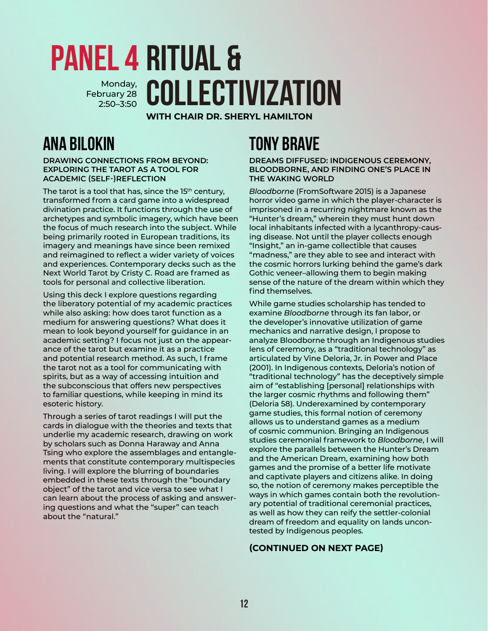## <span id="page-13-0"></span>**PANEL 4 RITUAL &** Monday, **COLLECTIVIZATION** February 28 2:50–3:50

**WITH CHAIR DR. SHERYL HAMILTON**

## **Ana Bilokin**

**DRAWING CONNECTIONS FROM BEYOND: EXPLORING THE TAROT AS A TOOL FOR ACADEMIC (SELF-)REFLECTION**

The tarot is a tool that has, since the  $15<sup>th</sup>$  century, transformed from a card game into a widespread divination practice. It functions through the use of archetypes and symbolic imagery, which have been the focus of much research into the subject. While being primarily rooted in European traditions, its imagery and meanings have since been remixed and reimagined to reflect a wider variety of voices and experiences. Contemporary decks such as the Next World Tarot by Cristy C. Road are framed as tools for personal and collective liberation.

Using this deck I explore questions regarding the liberatory potential of my academic practices while also asking: how does tarot function as a medium for answering questions? What does it mean to look beyond yourself for guidance in an academic setting? I focus not just on the appearance of the tarot but examine it as a practice and potential research method. As such, I frame the tarot not as a tool for communicating with spirits, but as a way of accessing intuition and the subconscious that offers new perspectives to familiar questions, while keeping in mind its esoteric history.

Through a series of tarot readings I will put the cards in dialogue with the theories and texts that underlie my academic research, drawing on work by scholars such as Donna Haraway and Anna Tsing who explore the assemblages and entanglements that constitute contemporary multispecies living. I will explore the blurring of boundaries embedded in these texts through the "boundary object" of the tarot and vice versa to see what I can learn about the process of asking and answering questions and what the "super" can teach about the "natural."

## **Tony Brave**

**DREAMS DIFFUSED: INDIGENOUS CEREMONY, BLOODBORNE, AND FINDING ONE'S PLACE IN THE WAKING WORLD** 

*Bloodborne* (FromSoftware 2015) is a Japanese horror video game in which the player-character is imprisoned in a recurring nightmare known as the "Hunter's dream," wherein they must hunt down local inhabitants infected with a lycanthropy-causing disease. Not until the player collects enough "Insight," an in-game collectible that causes "madness," are they able to see and interact with the cosmic horrors lurking behind the game's dark Gothic veneer–allowing them to begin making sense of the nature of the dream within which they find themselves.

While game studies scholarship has tended to examine *Bloodborne* through its fan labor, or the developer's innovative utilization of game mechanics and narrative design, I propose to analyze Bloodborne through an Indigenous studies lens of ceremony, as a "traditional technology" as articulated by Vine Deloria, Jr. in Power and Place (2001). In Indigenous contexts, Deloria's notion of "traditional technology" has the deceptively simple aim of "establishing [personal] relationships with the larger cosmic rhythms and following them" (Deloria 58). Underexamined by contemporary game studies, this formal notion of ceremony allows us to understand games as a medium of cosmic communion. Bringing an Indigenous studies ceremonial framework to *Bloodborne*, I will explore the parallels between the Hunter's Dream and the American Dream, examining how both games and the promise of a better life motivate and captivate players and citizens alike. In doing so, the notion of ceremony makes perceptible the ways in which games contain both the revolutionary potential of traditional ceremonial practices, as well as how they can reify the settler-colonial dream of freedom and equality on lands uncontested by Indigenous peoples.

#### **(CONTINUED ON NEXT PAGE)**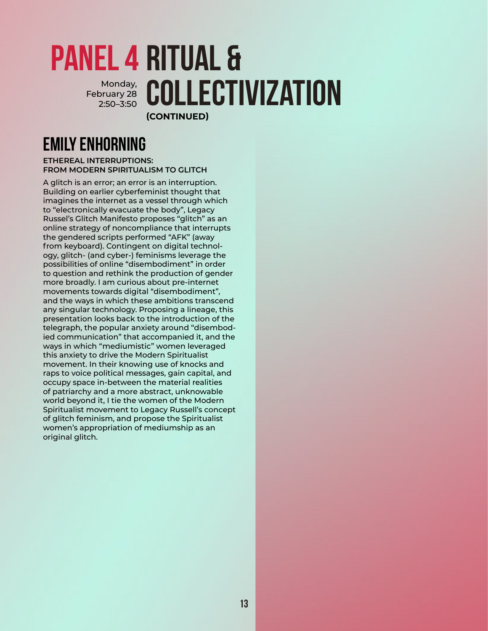#### **PANEL 4 RITUAL &** Monday, **COLLECTIVIZATION (CONTINUED)** February 28 2:50–3:50

## **Emily Enhorning**

#### **ETHEREAL INTERRUPTIONS: FROM MODERN SPIRITUALISM TO GLITCH**

A glitch is an error; an error is an interruption. Building on earlier cyberfeminist thought that imagines the internet as a vessel through which to "electronically evacuate the body", Legacy Russel's Glitch Manifesto proposes "glitch" as an online strategy of noncompliance that interrupts the gendered scripts performed "AFK" (away from keyboard). Contingent on digital technology, glitch- (and cyber-) feminisms leverage the possibilities of online "disembodiment" in order to question and rethink the production of gender more broadly. I am curious about pre-internet movements towards digital "disembodiment", and the ways in which these ambitions transcend any singular technology. Proposing a lineage, this presentation looks back to the introduction of the telegraph, the popular anxiety around "disembodied communication" that accompanied it, and the ways in which "mediumistic" women leveraged this anxiety to drive the Modern Spiritualist movement. In their knowing use of knocks and raps to voice political messages, gain capital, and occupy space in-between the material realities of patriarchy and a more abstract, unknowable world beyond it, I tie the women of the Modern Spiritualist movement to Legacy Russell's concept of glitch feminism, and propose the Spiritualist women's appropriation of mediumship as an original glitch.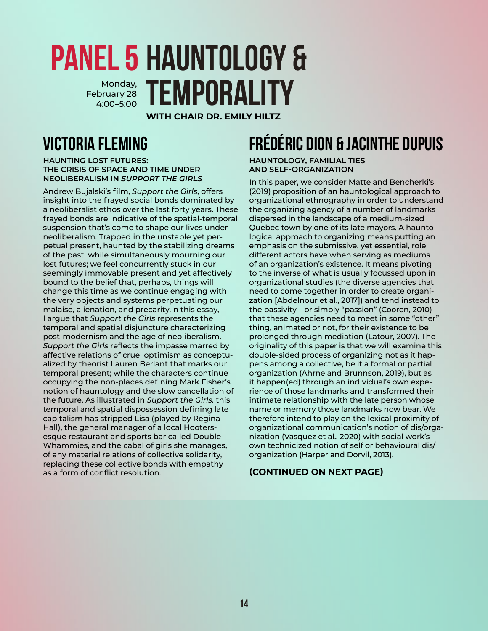#### <span id="page-15-0"></span>**PANEL 5 HAUNTOLOGY & Temporality** Monday, February 28 4:00–5:00

**WITH CHAIR DR. EMILY HILTZ**

## **Victoria Fleming**

**HAUNTING LOST FUTURES: THE CRISIS OF SPACE AND TIME UNDER NEOLIBERALISM IN** *SUPPORT THE GIRLS*

Andrew Bujalski's film, *Support the Girls*, offers insight into the frayed social bonds dominated by a neoliberalist ethos over the last forty years. These frayed bonds are indicative of the spatial-temporal suspension that's come to shape our lives under neoliberalism. Trapped in the unstable yet perpetual present, haunted by the stabilizing dreams of the past, while simultaneously mourning our lost futures; we feel concurrently stuck in our seemingly immovable present and yet affectively bound to the belief that, perhaps, things will change this time as we continue engaging with the very objects and systems perpetuating our malaise, alienation, and precarity.In this essay, I argue that *Support the Girls* represents the temporal and spatial disjuncture characterizing post-modernism and the age of neoliberalism. *Support the Girls* reflects the impasse marred by affective relations of cruel optimism as conceptualized by theorist Lauren Berlant that marks our temporal present; while the characters continue occupying the non-places defining Mark Fisher's notion of hauntology and the slow cancellation of the future. As illustrated in *Support the Girls,* this temporal and spatial dispossession defining late capitalism has stripped Lisa (played by Regina Hall), the general manager of a local Hootersesque restaurant and sports bar called Double Whammies, and the cabal of girls she manages, of any material relations of collective solidarity, replacing these collective bonds with empathy as a form of conflict resolution.

## **Frédéric Dion & Jacinthe Dupuis**

**HAUNTOLOGY, FAMILIAL TIES AND SELF-ORGANIZATION**

In this paper, we consider Matte and Bencherki's (2019) proposition of an hauntological approach to organizational ethnography in order to understand the organizing agency of a number of landmarks dispersed in the landscape of a medium-sized Quebec town by one of its late mayors. A hauntological approach to organizing means putting an emphasis on the submissive, yet essential, role different actors have when serving as mediums of an organization's existence. It means pivoting to the inverse of what is usually focussed upon in organizational studies (the diverse agencies that need to come together in order to create organization [Abdelnour et al., 2017]) and tend instead to the passivity – or simply "passion" (Cooren, 2010) – that these agencies need to meet in some "other" thing, animated or not, for their existence to be prolonged through mediation (Latour, 2007). The originality of this paper is that we will examine this double-sided process of organizing not as it happens among a collective, be it a formal or partial organization (Ahrne and Brunnson, 2019), but as it happen(ed) through an individual's own experience of those landmarks and transformed their intimate relationship with the late person whose name or memory those landmarks now bear. We therefore intend to play on the lexical proximity of organizational communication's notion of dis/organization (Vasquez et al., 2020) with social work's own technicized notion of self or behavioural dis/ organization (Harper and Dorvil, 2013).

#### **(CONTINUED ON NEXT PAGE)**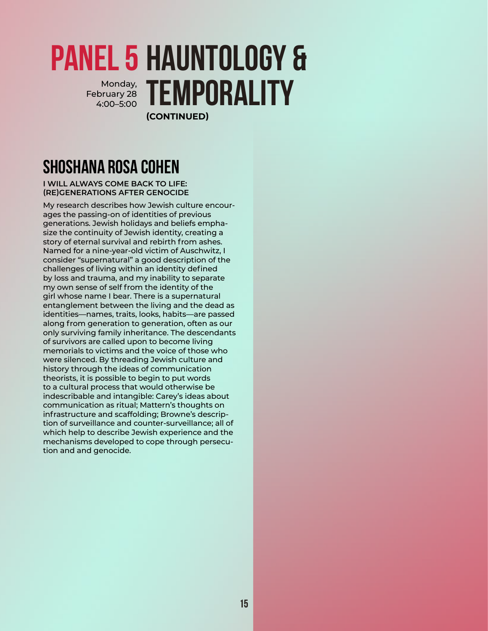#### **PANEL 5 HAUNTOLOGY &** Monday, **TEMPORALITY (CONTINUED)** February 28 4:00–5:00

## **Shoshana Rosa Cohen**

**I WILL ALWAYS COME BACK TO LIFE: (RE)GENERATIONS AFTER GENOCIDE**

My research describes how Jewish culture encourages the passing-on of identities of previous generations. Jewish holidays and beliefs emphasize the continuity of Jewish identity, creating a story of eternal survival and rebirth from ashes. Named for a nine-year-old victim of Auschwitz, I consider "supernatural" a good description of the challenges of living within an identity defined by loss and trauma, and my inability to separate my own sense of self from the identity of the girl whose name I bear. There is a supernatural entanglement between the living and the dead as identities—names, traits, looks, habits—are passed along from generation to generation, often as our only surviving family inheritance. The descendants of survivors are called upon to become living memorials to victims and the voice of those who were silenced. By threading Jewish culture and history through the ideas of communication theorists, it is possible to begin to put words to a cultural process that would otherwise be indescribable and intangible: Carey's ideas about communication as ritual; Mattern's thoughts on infrastructure and scaffolding; Browne's description of surveillance and counter-surveillance; all of which help to describe Jewish experience and the mechanisms developed to cope through persecution and and genocide.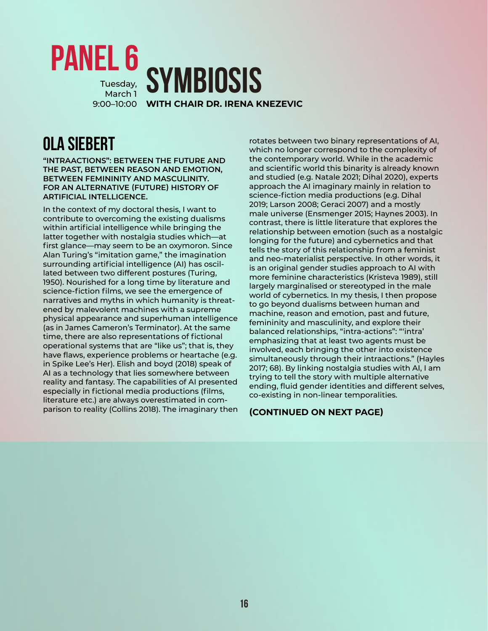#### <span id="page-17-0"></span>**Symbiosis WITH CHAIR DR. IRENA KNEZEVIC** 9:00–10:00 **Panel 6** Tuesday, March 1

**Ola Siebert**

**"INTRAACTIONS": BETWEEN THE FUTURE AND THE PAST, BETWEEN REASON AND EMOTION, BETWEEN FEMININITY AND MASCULINITY. FOR AN ALTERNATIVE (FUTURE) HISTORY OF ARTIFICIAL INTELLIGENCE.**

In the context of my doctoral thesis, I want to contribute to overcoming the existing dualisms within artificial intelligence while bringing the latter together with nostalgia studies which—at first glance—may seem to be an oxymoron. Since Alan Turing's "imitation game," the imagination surrounding artificial intelligence (AI) has oscillated between two different postures (Turing, 1950). Nourished for a long time by literature and science-fiction films, we see the emergence of narratives and myths in which humanity is threatened by malevolent machines with a supreme physical appearance and superhuman intelligence (as in James Cameron's Terminator). At the same time, there are also representations of fictional operational systems that are "like us"; that is, they have flaws, experience problems or heartache (e.g. in Spike Lee's Her). Elish and boyd (2018) speak of AI as a technology that lies somewhere between reality and fantasy. The capabilities of AI presented especially in fictional media productions (films, literature etc.) are always overestimated in comparison to reality (Collins 2018). The imaginary then rotates between two binary representations of AI, which no longer correspond to the complexity of the contemporary world. While in the academic and scientific world this binarity is already known and studied (e.g. Natale 2021; Dihal 2020), experts approach the AI imaginary mainly in relation to science-fiction media productions (e.g. Dihal 2019; Larson 2008; Geraci 2007) and a mostly male universe (Ensmenger 2015; Haynes 2003). In contrast, there is little literature that explores the relationship between emotion (such as a nostalgic longing for the future) and cybernetics and that tells the story of this relationship from a feminist and neo-materialist perspective. In other words, it is an original gender studies approach to AI with more feminine characteristics (Kristeva 1989), still largely marginalised or stereotyped in the male world of cybernetics. In my thesis, I then propose to go beyond dualisms between human and machine, reason and emotion, past and future, femininity and masculinity, and explore their balanced relationships, "intra-actions": "'intra' emphasizing that at least two agents must be involved, each bringing the other into existence simultaneously through their intraactions." (Hayles 2017; 68). By linking nostalgia studies with AI, I am trying to tell the story with multiple alternative ending, fluid gender identities and different selves, co-existing in non-linear temporalities.

#### **(CONTINUED ON NEXT PAGE)**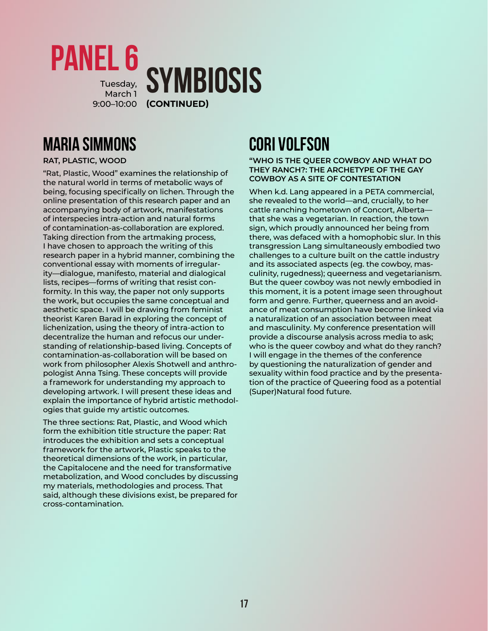

## **Maria Simmons**

#### **RAT, PLASTIC, WOOD**

"Rat, Plastic, Wood" examines the relationship of the natural world in terms of metabolic ways of being, focusing specifically on lichen. Through the online presentation of this research paper and an accompanying body of artwork, manifestations of interspecies intra-action and natural forms of contamination-as-collaboration are explored. Taking direction from the artmaking process, I have chosen to approach the writing of this research paper in a hybrid manner, combining the conventional essay with moments of irregularity—dialogue, manifesto, material and dialogical lists, recipes—forms of writing that resist conformity. In this way, the paper not only supports the work, but occupies the same conceptual and aesthetic space. I will be drawing from feminist theorist Karen Barad in exploring the concept of lichenization, using the theory of intra-action to decentralize the human and refocus our understanding of relationship-based living. Concepts of contamination-as-collaboration will be based on work from philosopher Alexis Shotwell and anthropologist Anna Tsing. These concepts will provide a framework for understanding my approach to developing artwork. I will present these ideas and explain the importance of hybrid artistic methodologies that guide my artistic outcomes.

The three sections: Rat, Plastic, and Wood which form the exhibition title structure the paper: Rat introduces the exhibition and sets a conceptual framework for the artwork, Plastic speaks to the theoretical dimensions of the work, in particular, the Capitalocene and the need for transformative metabolization, and Wood concludes by discussing my materials, methodologies and process. That said, although these divisions exist, be prepared for cross-contamination.

## **Cori Volfson**

#### **"WHO IS THE QUEER COWBOY AND WHAT DO THEY RANCH?: THE ARCHETYPE OF THE GAY COWBOY AS A SITE OF CONTESTATION**

When k.d. Lang appeared in a PETA commercial, she revealed to the world—and, crucially, to her cattle ranching hometown of Concort, Alberta that she was a vegetarian. In reaction, the town sign, which proudly announced her being from there, was defaced with a homophobic slur. In this transgression Lang simultaneously embodied two challenges to a culture built on the cattle industry and its associated aspects (eg. the cowboy, masculinity, rugedness); queerness and vegetarianism. But the queer cowboy was not newly embodied in this moment, it is a potent image seen throughout form and genre. Further, queerness and an avoidance of meat consumption have become linked via a naturalization of an association between meat and masculinity. My conference presentation will provide a discourse analysis across media to ask; who is the queer cowboy and what do they ranch? I will engage in the themes of the conference by questioning the naturalization of gender and sexuality within food practice and by the presentation of the practice of Queering food as a potential (Super)Natural food future.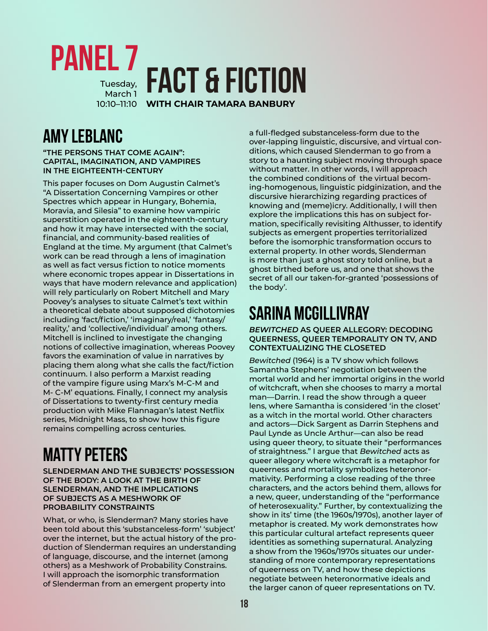<span id="page-19-0"></span>

## **Amy LeBlanc**

**"THE PERSONS THAT COME AGAIN": CAPITAL, IMAGINATION, AND VAMPIRES IN THE EIGHTEENTH-CENTURY**

This paper focuses on Dom Augustin Calmet's "A Dissertation Concerning Vampires or other Spectres which appear in Hungary, Bohemia, Moravia, and Silesia" to examine how vampiric superstition operated in the eighteenth-century and how it may have intersected with the social, financial, and community-based realities of England at the time. My argument (that Calmet's work can be read through a lens of imagination as well as fact versus fiction to notice moments where economic tropes appear in Dissertations in ways that have modern relevance and application) will rely particularly on Robert Mitchell and Mary Poovey's analyses to situate Calmet's text within a theoretical debate about supposed dichotomies including 'fact/fiction,' 'imaginary/real,' 'fantasy/ reality,' and 'collective/individual' among others. Mitchell is inclined to investigate the changing notions of collective imagination, whereas Poovey favors the examination of value in narratives by placing them along what she calls the fact/fiction continuum. I also perform a Marxist reading of the vampire figure using Marx's M-C-M and M- C-M' equations. Finally, I connect my analysis of Dissertations to twenty-first century media production with Mike Flannagan's latest Netflix series, Midnight Mass, to show how this figure remains compelling across centuries.

## **Matty Peters**

**SLENDERMAN AND THE SUBJECTS' POSSESSION OF THE BODY: A LOOK AT THE BIRTH OF SLENDERMAN, AND THE IMPLICATIONS OF SUBJECTS AS A MESHWORK OF PROBABILITY CONSTRAINTS**

What, or who, is Slenderman? Many stories have been told about this 'substanceless-form' 'subject' over the internet, but the actual history of the production of Slenderman requires an understanding of language, discourse, and the internet (among others) as a Meshwork of Probability Constrains. I will approach the isomorphic transformation of Slenderman from an emergent property into

a full-fledged substanceless-form due to the over-lapping linguistic, discursive, and virtual conditions, which caused Slenderman to go from a story to a haunting subject moving through space without matter. In other words, I will approach the combined conditions of the virtual becoming-homogenous, linguistic pidginization, and the discursive hierarchizing regarding practices of knowing and (meme)icry. Additionally, I will then explore the implications this has on subject formation, specifically revisiting Althusser, to identify subjects as emergent properties territorialized before the isomorphic transformation occurs to external property. In other words, Slenderman is more than just a ghost story told online, but a ghost birthed before us, and one that shows the secret of all our taken-for-granted 'possessions of the body'.

## **Sarina McGillivray**

*BEWITCHED* **AS QUEER ALLEGORY: DECODING QUEERNESS, QUEER TEMPORALITY ON TV, AND CONTEXTUALIZING THE CLOSETED**

*Bewitched* (1964) is a TV show which follows Samantha Stephens' negotiation between the mortal world and her immortal origins in the world of witchcraft, when she chooses to marry a mortal man—Darrin. I read the show through a queer lens, where Samantha is considered 'in the closet' as a witch in the mortal world. Other characters and actors—Dick Sargent as Darrin Stephens and Paul Lynde as Uncle Arthur—can also be read using queer theory, to situate their "performances of straightness." I argue that *Bewitched* acts as queer allegory where witchcraft is a metaphor for queerness and mortality symbolizes heteronormativity. Performing a close reading of the three characters, and the actors behind them, allows for a new, queer, understanding of the "performance of heterosexuality." Further, by contextualizing the show in its' time (the 1960s/1970s), another layer of metaphor is created. My work demonstrates how this particular cultural artefact represents queer identities as something supernatural. Analyzing a show from the 1960s/1970s situates our understanding of more contemporary representations of queerness on TV, and how these depictions negotiate between heteronormative ideals and the larger canon of queer representations on TV.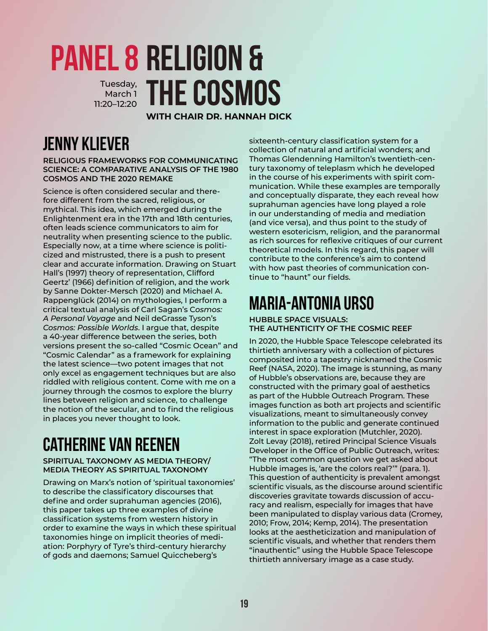### <span id="page-20-0"></span>**Religion & Panel 8** Tuesday, THE COSMOS March 1 11:20–12:20

**WITH CHAIR DR. HANNAH DICK**

## **Jenny Kliever**

**RELIGIOUS FRAMEWORKS FOR COMMUNICATING SCIENCE: A COMPARATIVE ANALYSIS OF THE 1980 COSMOS AND THE 2020 REMAKE**

Science is often considered secular and therefore different from the sacred, religious, or mythical. This idea, which emerged during the Enlightenment era in the 17th and 18th centuries, often leads science communicators to aim for neutrality when presenting science to the public. Especially now, at a time where science is politicized and mistrusted, there is a push to present clear and accurate information. Drawing on Stuart Hall's (1997) theory of representation, Clifford Geertz' (1966) definition of religion, and the work by Sanne Dokter-Mersch (2020) and Michael A. Rappenglück (2014) on mythologies, I perform a critical textual analysis of Carl Sagan's C*osmos: A Personal Voyage* and Neil deGrasse Tyson's *Cosmos: Possible Worlds*. I argue that, despite a 40-year difference between the series, both versions present the so-called "Cosmic Ocean" and "Cosmic Calendar" as a framework for explaining the latest science—two potent images that not only excel as engagement techniques but are also riddled with religious content. Come with me on a journey through the cosmos to explore the blurry lines between religion and science, to challenge the notion of the secular, and to find the religious in places you never thought to look.

## **Catherine van Reenen**

#### **SPIRITUAL TAXONOMY AS MEDIA THEORY/ MEDIA THEORY AS SPIRITUAL TAXONOMY**

Drawing on Marx's notion of 'spiritual taxonomies' to describe the classificatory discourses that define and order suprahuman agencies (2016), this paper takes up three examples of divine classification systems from western history in order to examine the ways in which these spiritual taxonomies hinge on implicit theories of mediation: Porphyry of Tyre's third-century hierarchy of gods and daemons; Samuel Quiccheberg's

sixteenth-century classification system for a collection of natural and artificial wonders; and Thomas Glendenning Hamilton's twentieth-century taxonomy of teleplasm which he developed in the course of his experiments with spirit communication. While these examples are temporally and conceptually disparate, they each reveal how suprahuman agencies have long played a role in our understanding of media and mediation (and vice versa), and thus point to the study of western esotericism, religion, and the paranormal as rich sources for reflexive critiques of our current theoretical models. In this regard, this paper will contribute to the conference's aim to contend with how past theories of communication continue to "haunt" our fields.

## **Maria-Antonia Urso**

**HUBBLE SPACE VISUALS: THE AUTHENTICITY OF THE COSMIC REEF**

In 2020, the Hubble Space Telescope celebrated its thirtieth anniversary with a collection of pictures composited into a tapestry nicknamed the Cosmic Reef (NASA, 2020). The image is stunning, as many of Hubble's observations are, because they are constructed with the primary goal of aesthetics as part of the Hubble Outreach Program. These images function as both art projects and scientific visualizations, meant to simultaneously convey information to the public and generate continued interest in space exploration (Mutchler, 2020). Zolt Levay (2018), retired Principal Science Visuals Developer in the Office of Public Outreach, writes: "The most common question we get asked about Hubble images is, 'are the colors real?'" (para. 1). This question of authenticity is prevalent amongst scientific visuals, as the discourse around scientific discoveries gravitate towards discussion of accuracy and realism, especially for images that have been manipulated to display various data (Cromey, 2010; Frow, 2014; Kemp, 2014). The presentation looks at the aestheticization and manipulation of scientific visuals, and whether that renders them "inauthentic" using the Hubble Space Telescope thirtieth anniversary image as a case study.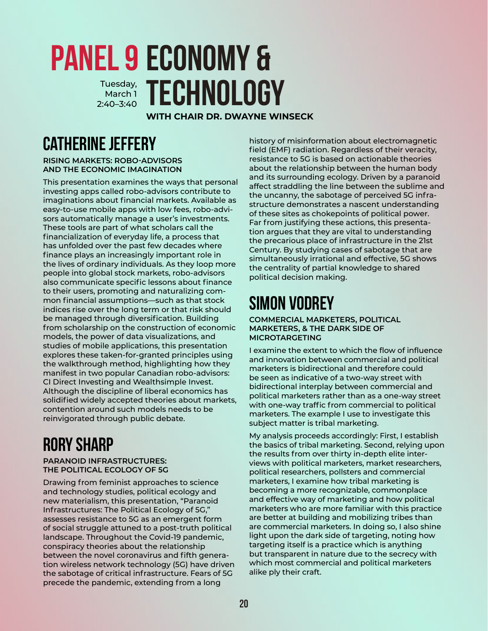### <span id="page-21-0"></span>**Economy & Panel 9** Tuesday, **TECHNOLOGY** March 1 2:40–3:40

**WITH CHAIR DR. DWAYNE WINSECK**

## **Catherine Jeffery**

**RISING MARKETS: ROBO-ADVISORS AND THE ECONOMIC IMAGINATION**

This presentation examines the ways that personal investing apps called robo-advisors contribute to imaginations about financial markets. Available as easy-to-use mobile apps with low fees, robo-advisors automatically manage a user's investments. These tools are part of what scholars call the financialization of everyday life, a process that has unfolded over the past few decades where finance plays an increasingly important role in the lives of ordinary individuals. As they loop more people into global stock markets, robo-advisors also communicate specific lessons about finance to their users, promoting and naturalizing common financial assumptions—such as that stock indices rise over the long term or that risk should be managed through diversification. Building from scholarship on the construction of economic models, the power of data visualizations, and studies of mobile applications, this presentation explores these taken-for-granted principles using the walkthrough method, highlighting how they manifest in two popular Canadian robo-advisors: CI Direct Investing and Wealthsimple Invest. Although the discipline of liberal economics has solidified widely accepted theories about markets, contention around such models needs to be reinvigorated through public debate.

## **Rory Sharp**

#### **PARANOID INFRASTRUCTURES: THE POLITICAL ECOLOGY OF 5G**

Drawing from feminist approaches to science and technology studies, political ecology and new materialism, this presentation, "Paranoid Infrastructures: The Political Ecology of 5G," assesses resistance to 5G as an emergent form of social struggle attuned to a post-truth political landscape. Throughout the Covid-19 pandemic, conspiracy theories about the relationship between the novel coronavirus and fifth generation wireless network technology (5G) have driven the sabotage of critical infrastructure. Fears of 5G precede the pandemic, extending from a long

history of misinformation about electromagnetic field (EMF) radiation. Regardless of their veracity, resistance to 5G is based on actionable theories about the relationship between the human body and its surrounding ecology. Driven by a paranoid affect straddling the line between the sublime and the uncanny, the sabotage of perceived 5G infrastructure demonstrates a nascent understanding of these sites as chokepoints of political power. Far from justifying these actions, this presentation argues that they are vital to understanding the precarious place of infrastructure in the 21st Century. By studying cases of sabotage that are simultaneously irrational and effective, 5G shows the centrality of partial knowledge to shared political decision making.

## **Simon Vodrey**

**COMMERCIAL MARKETERS, POLITICAL MARKETERS, & THE DARK SIDE OF MICROTARGETING** 

I examine the extent to which the flow of influence and innovation between commercial and political marketers is bidirectional and therefore could be seen as indicative of a two-way street with bidirectional interplay between commercial and political marketers rather than as a one-way street with one-way traffic from commercial to political marketers. The example I use to investigate this subject matter is tribal marketing.

My analysis proceeds accordingly: First, I establish the basics of tribal marketing. Second, relying upon the results from over thirty in-depth elite interviews with political marketers, market researchers, political researchers, pollsters and commercial marketers, I examine how tribal marketing is becoming a more recognizable, commonplace and effective way of marketing and how political marketers who are more familiar with this practice are better at building and mobilizing tribes than are commercial marketers. In doing so, I also shine light upon the dark side of targeting, noting how targeting itself is a practice which is anything but transparent in nature due to the secrecy with which most commercial and political marketers alike ply their craft.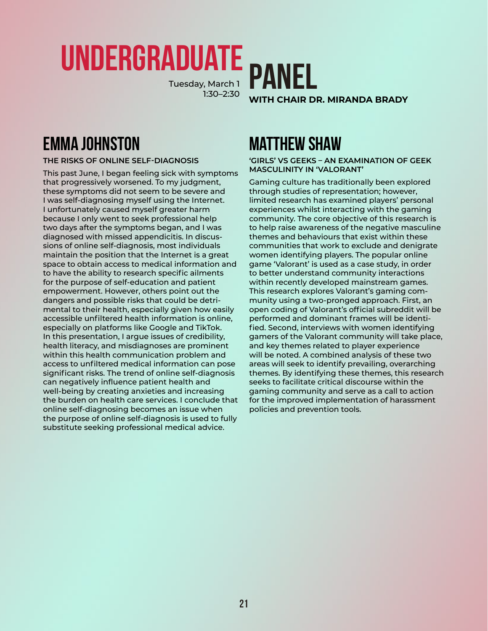# <span id="page-22-0"></span>**Undergraduate**

Tuesday, March 1 1:30–2:30



## **Emma Johnston**

#### **THE RISKS OF ONLINE SELF-DIAGNOSIS**

This past June, I began feeling sick with symptoms that progressively worsened. To my judgment, these symptoms did not seem to be severe and I was self-diagnosing myself using the Internet. I unfortunately caused myself greater harm because I only went to seek professional help two days after the symptoms began, and I was diagnosed with missed appendicitis. In discussions of online self-diagnosis, most individuals maintain the position that the Internet is a great space to obtain access to medical information and to have the ability to research specific ailments for the purpose of self-education and patient empowerment. However, others point out the dangers and possible risks that could be detrimental to their health, especially given how easily accessible unfiltered health information is online, especially on platforms like Google and TikTok. In this presentation, I argue issues of credibility, health literacy, and misdiagnoses are prominent within this health communication problem and access to unfiltered medical information can pose significant risks. The trend of online self-diagnosis can negatively influence patient health and well-being by creating anxieties and increasing the burden on health care services. I conclude that online self-diagnosing becomes an issue when the purpose of online self-diagnosis is used to fully substitute seeking professional medical advice.

## **Matthew Shaw**

#### **'GIRLS' VS GEEKS – AN EXAMINATION OF GEEK MASCULINITY IN 'VALORANT'**

Gaming culture has traditionally been explored through studies of representation; however, limited research has examined players' personal experiences whilst interacting with the gaming community. The core objective of this research is to help raise awareness of the negative masculine themes and behaviours that exist within these communities that work to exclude and denigrate women identifying players. The popular online game 'Valorant' is used as a case study, in order to better understand community interactions within recently developed mainstream games. This research explores Valorant's gaming community using a two-pronged approach. First, an open coding of Valorant's official subreddit will be performed and dominant frames will be identified. Second, interviews with women identifying gamers of the Valorant community will take place, and key themes related to player experience will be noted. A combined analysis of these two areas will seek to identify prevailing, overarching themes. By identifying these themes, this research seeks to facilitate critical discourse within the gaming community and serve as a call to action for the improved implementation of harassment policies and prevention tools.